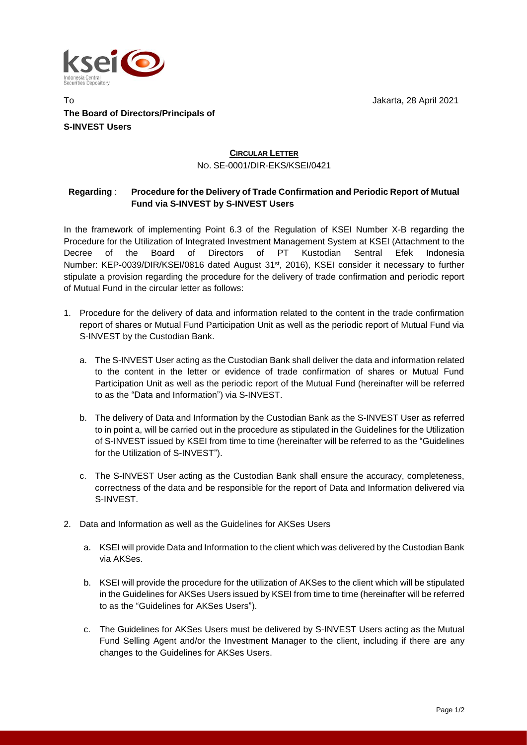

To Jakarta, 28 April 2021 **The Board of Directors/Principals of S-INVEST Users**

## **CIRCULAR LETTER** NO. SE-0001/DIR-EKS/KSEI/0421

## **Regarding** : **Procedure for the Delivery of Trade Confirmation and Periodic Report of Mutual Fund via S-INVEST by S-INVEST Users**

In the framework of implementing Point 6.3 of the Regulation of KSEI Number X-B regarding the Procedure for the Utilization of Integrated Investment Management System at KSEI (Attachment to the Decree of the Board of Directors of PT Kustodian Sentral Efek Indonesia Number: KEP-0039/DIR/KSEI/0816 dated August 31<sup>st</sup>, 2016), KSEI consider it necessary to further stipulate a provision regarding the procedure for the delivery of trade confirmation and periodic report of Mutual Fund in the circular letter as follows:

- 1. Procedure for the delivery of data and information related to the content in the trade confirmation report of shares or Mutual Fund Participation Unit as well as the periodic report of Mutual Fund via S-INVEST by the Custodian Bank.
	- a. The S-INVEST User acting as the Custodian Bank shall deliver the data and information related to the content in the letter or evidence of trade confirmation of shares or Mutual Fund Participation Unit as well as the periodic report of the Mutual Fund (hereinafter will be referred to as the "Data and Information") via S-INVEST.
	- b. The delivery of Data and Information by the Custodian Bank as the S-INVEST User as referred to in point a, will be carried out in the procedure as stipulated in the Guidelines for the Utilization of S-INVEST issued by KSEI from time to time (hereinafter will be referred to as the "Guidelines for the Utilization of S-INVEST").
	- c. The S-INVEST User acting as the Custodian Bank shall ensure the accuracy, completeness, correctness of the data and be responsible for the report of Data and Information delivered via S-INVEST.
- 2. Data and Information as well as the Guidelines for AKSes Users
	- a. KSEI will provide Data and Information to the client which was delivered by the Custodian Bank via AKSes.
	- b. KSEI will provide the procedure for the utilization of AKSes to the client which will be stipulated in the Guidelines for AKSes Users issued by KSEI from time to time (hereinafter will be referred to as the "Guidelines for AKSes Users").
	- c. The Guidelines for AKSes Users must be delivered by S-INVEST Users acting as the Mutual Fund Selling Agent and/or the Investment Manager to the client, including if there are any changes to the Guidelines for AKSes Users.